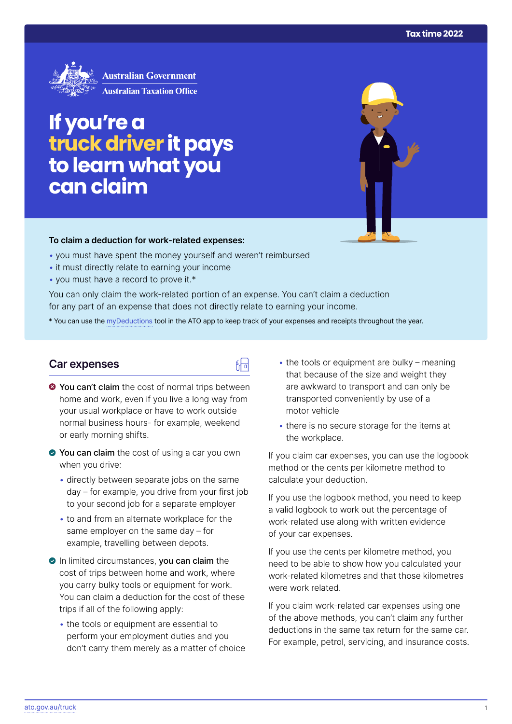

# **If you're a truckdriver it pays to learn what you can claim**

#### **To claim a deduction for work‑related expenses:**

- you must have spent the money yourself and weren't reimbursed
- it must directly relate to earning your income
- you must have a record to prove it.\*

You can only claim the work-related portion of an expense. You can't claim a deduction for any part of an expense that does not directly relate to earning your income.

\* You can use the [myDeductions](https://ato.gov.au/mydeductions) tool in the ATO app to keep track of your expenses and receipts throughout the year.

品

#### **Car expenses**

- $\bullet$  You can't claim the cost of normal trips between home and work, even if you live a long way from your usual workplace or have to work outside normal business hours- for example, weekend or early morning shifts.
- ◆ You can claim the cost of using a car you own when you drive:
	- directly between separate jobs on the same day – for example, you drive from your first job to your second job for a separate employer
	- to and from an alternate workplace for the same employer on the same day – for example, travelling between depots.
- In limited circumstances, you can claim the cost of trips between home and work, where you carry bulky tools or equipment for work. You can claim a deduction for the cost of these trips if all of the following apply:
	- the tools or equipment are essential to perform your employment duties and you don't carry them merely as a matter of choice
- $\cdot$  the tools or equipment are bulky meaning that because of the size and weight they are awkward to transport and can only be transported conveniently by use of a motor vehicle
- there is no secure storage for the items at the workplace.

If you claim car expenses, you can use the logbook method or the cents per kilometre method to calculate your deduction.

If you use the logbook method, you need to keep a valid logbook to work out the percentage of work-related use along with written evidence of your car expenses.

If you use the cents per kilometre method, you need to be able to show how you calculated your work-related kilometres and that those kilometres were work related.

If you claim work-related car expenses using one of the above methods, you can't claim any further deductions in the same tax return for the same car. For example, petrol, servicing, and insurance costs.